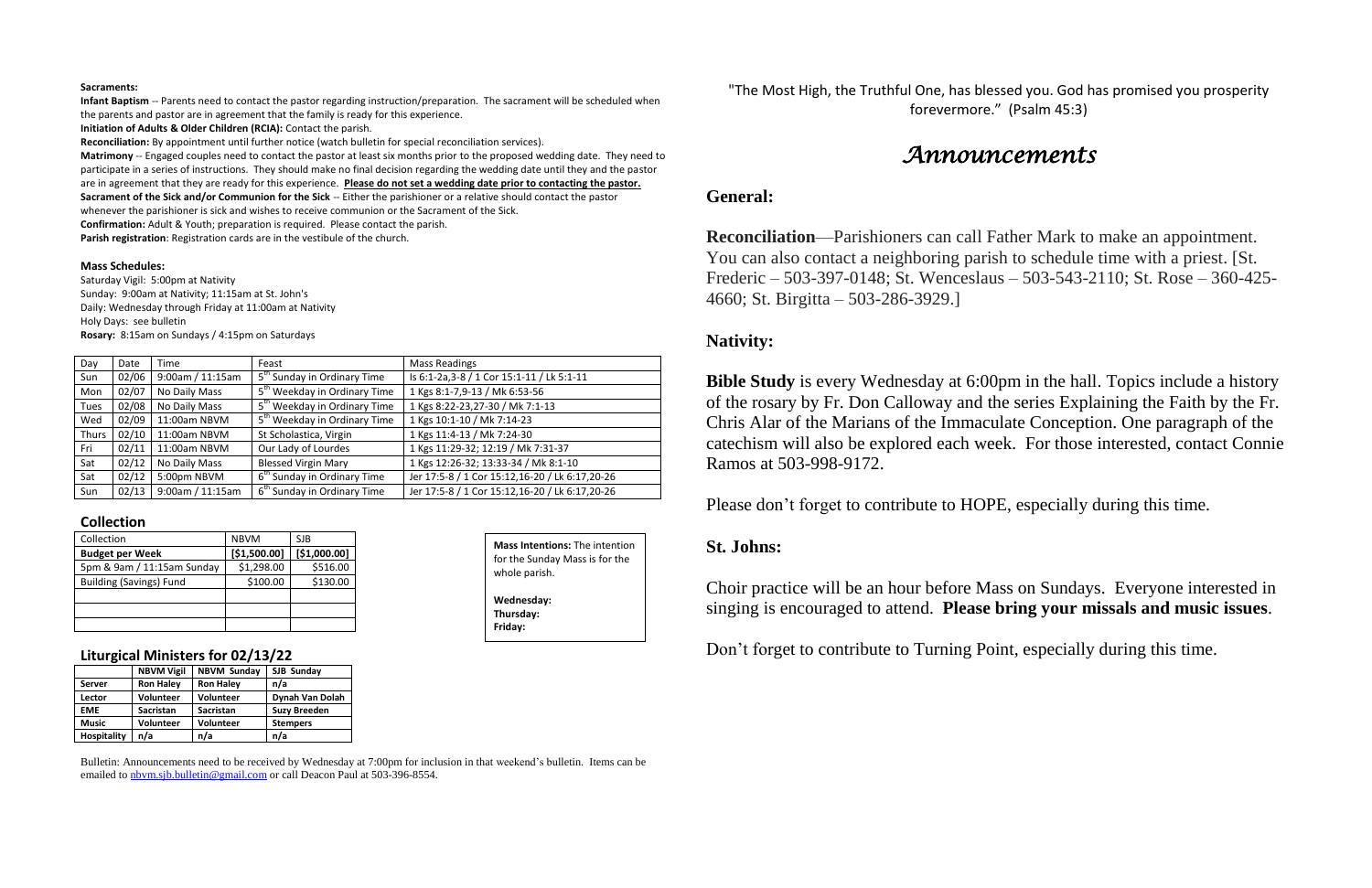#### **Sacraments:**

**Infant Baptism** -- Parents need to contact the pastor regarding instruction/preparation. The sacrament will be scheduled when the parents and pastor are in agreement that the family is ready for this experience.

**Initiation of Adults & Older Children (RCIA):** Contact the parish.

**Reconciliation:** By appointment until further notice (watch bulletin for special reconciliation services).

**Matrimony** -- Engaged couples need to contact the pastor at least six months prior to the proposed wedding date. They need to participate in a series of instructions. They should make no final decision regarding the wedding date until they and the pastor are in agreement that they are ready for this experience. **Please do not set a wedding date prior to contacting the pastor. Sacrament of the Sick and/or Communion for the Sick** -- Either the parishioner or a relative should contact the pastor

whenever the parishioner is sick and wishes to receive communion or the Sacrament of the Sick.

**Confirmation:** Adult & Youth; preparation is required. Please contact the parish.

**Parish registration**: Registration cards are in the vestibule of the church.

#### **Mass Schedules:**

Saturday Vigil: 5:00pm at Nativity Sunday: 9:00am at Nativity; 11:15am at St. John's Daily: Wednesday through Friday at 11:00am at Nativity Holy Days: see bulletin **Rosary:** 8:15am on Sundays / 4:15pm on Saturdays

> **Bible Study** is every Wednesday at 6:00pm in the hall. Topics include a history of the rosary by Fr. Don Calloway and the series Explaining the Faith by the Fr. Chris Alar of the Marians of the Immaculate Conception. One paragraph of the catechism will also be explored each week. For those interested, contact Connie Ramos at 503-998-9172.

| Day   | Date  | Time             | Feast                                    | <b>Mass Readings</b>                           |
|-------|-------|------------------|------------------------------------------|------------------------------------------------|
| Sun   | 02/06 | 9:00am / 11:15am | 5 <sup>th</sup> Sunday in Ordinary Time  | Is 6:1-2a, 3-8 / 1 Cor 15:1-11 / Lk 5:1-11     |
| Mon   | 02/07 | No Daily Mass    | 5 <sup>th</sup> Weekday in Ordinary Time | 1 Kgs 8:1-7,9-13 / Mk 6:53-56                  |
| Tues  | 02/08 | No Daily Mass    | 5 <sup>th</sup> Weekday in Ordinary Time | 1 Kgs 8:22-23,27-30 / Mk 7:1-13                |
| Wed   | 02/09 | 11:00am NBVM     | 5 <sup>th</sup> Weekday in Ordinary Time | 1 Kgs 10:1-10 / Mk 7:14-23                     |
| Thurs | 02/10 | 11:00am NBVM     | St Scholastica, Virgin                   | 1 Kgs 11:4-13 / Mk 7:24-30                     |
| Fri   | 02/11 | 11:00am NBVM     | Our Lady of Lourdes                      | 1 Kgs 11:29-32; 12:19 / Mk 7:31-37             |
| Sat   | 02/12 | No Daily Mass    | <b>Blessed Virgin Mary</b>               | 1 Kgs 12:26-32; 13:33-34 / Mk 8:1-10           |
| Sat   | 02/12 | 5:00pm NBVM      | 6 <sup>th</sup> Sunday in Ordinary Time  | Jer 17:5-8 / 1 Cor 15:12,16-20 / Lk 6:17,20-26 |
| Sun   | 02/13 | 9:00am / 11:15am | 6 <sup>th</sup> Sunday in Ordinary Time  | Jer 17:5-8 / 1 Cor 15:12,16-20 / Lk 6:17,20-26 |

#### **Collection**

| Collection                     | <b>NBVM</b>  | SJB          |
|--------------------------------|--------------|--------------|
| <b>Budget per Week</b>         | [\$1,500.00] | [\$1,000.00] |
| 5pm & 9am / 11:15am Sunday     | \$1,298.00   | \$516.00     |
| <b>Building (Savings) Fund</b> | \$100.00     | \$130.00     |
|                                |              |              |
|                                |              |              |
|                                |              |              |

### **Liturgical Ministers for 02/13/22**

|                    | <b>NBVM Vigil</b> | <b>NBVM Sunday</b> | SJB Sunday          |  |
|--------------------|-------------------|--------------------|---------------------|--|
| Server             | <b>Ron Haley</b>  | <b>Ron Haley</b>   | n/a                 |  |
| Lector             | <b>Volunteer</b>  | Volunteer          | Dynah Van Dolah     |  |
| <b>EME</b>         | <b>Sacristan</b>  | <b>Sacristan</b>   | <b>Suzy Breeden</b> |  |
| <b>Music</b>       | <b>Volunteer</b>  | Volunteer          | <b>Stempers</b>     |  |
| <b>Hospitality</b> | n/a               | n/a                | n/a                 |  |

Bulletin: Announcements need to be received by Wednesday at 7:00pm for inclusion in that weekend's bulletin. Items can be emailed to [nbvm.sjb.bulletin@gmail.com](mailto:nbvm.sjb.bulletin@gmail.com) or call Deacon Paul at 503-396-8554.

"The Most High, the Truthful One, has blessed you. God has promised you prosperity forevermore." (Psalm 45:3)

# *Announcements*

### **General:**

**Reconciliation**—Parishioners can call Father Mark to make an appointment. You can also contact a neighboring parish to schedule time with a priest. [St. Frederic – 503-397-0148; St. Wenceslaus – 503-543-2110; St. Rose – 360-425- 4660; St. Birgitta – 503-286-3929.]

## **Nativity:**

Please don't forget to contribute to HOPE, especially during this time.

## **St. Johns:**

Choir practice will be an hour before Mass on Sundays. Everyone interested in singing is encouraged to attend. **Please bring your missals and music issues**.

Don't forget to contribute to Turning Point, especially during this time.

**Mass Intentions:** The intention for the Sunday Mass is for the whole parish. **Wednesday: Thursday: Friday:**